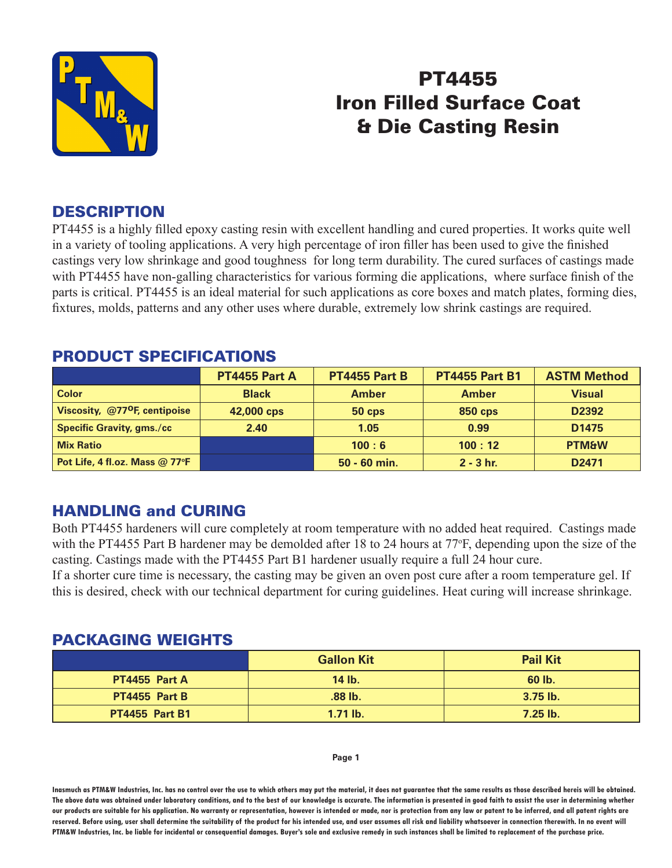

# PT4455 Iron Filled Surface Coat & Die Casting Resin

#### **DESCRIPTION**

PT4455 is a highly filled epoxy casting resin with excellent handling and cured properties. It works quite well in a variety of tooling applications. A very high percentage of iron filler has been used to give the finished castings very low shrinkage and good toughness for long term durability. The cured surfaces of castings made with PT4455 have non-galling characteristics for various forming die applications, where surface finish of the parts is critical. PT4455 is an ideal material for such applications as core boxes and match plates, forming dies, fixtures, molds, patterns and any other uses where durable, extremely low shrink castings are required.

|                                           | PT4455 Part A | PT4455 Part B | <b>PT4455 Part B1</b> | <b>ASTM Method</b> |
|-------------------------------------------|---------------|---------------|-----------------------|--------------------|
| <b>Color</b>                              | <b>Black</b>  | <b>Amber</b>  | <b>Amber</b>          | <b>Visual</b>      |
| Viscosity, @77 <sup>o</sup> F, centipoise | 42,000 cps    | $50$ cps      | <b>850 cps</b>        | D2392              |
| <b>Specific Gravity, gms./cc</b>          | 2.40          | 1.05          | 0.99                  | D <sub>1475</sub>  |
| <b>Mix Ratio</b>                          |               | 100:6         | 100:12                | <b>PTM&amp;W</b>   |
| Pot Life, 4 fl.oz. Mass @ 77°F            |               | 50 - 60 min.  | $2 - 3$ hr.           | D <sub>2471</sub>  |

### PRODUCT SPECIFICATIONS

## HANDLING and CURING

Both PT4455 hardeners will cure completely at room temperature with no added heat required. Castings made with the PT4455 Part B hardener may be demolded after 18 to 24 hours at 77°F, depending upon the size of the casting. Castings made with the PT4455 Part B1 hardener usually require a full 24 hour cure.

If a shorter cure time is necessary, the casting may be given an oven post cure after a room temperature gel. If this is desired, check with our technical department for curing guidelines. Heat curing will increase shrinkage.

#### PACKAGING WEIGHTS

|                       | <b>Gallon Kit</b> | <b>Pail Kit</b> |
|-----------------------|-------------------|-----------------|
| <b>PT4455 Part A</b>  | 14 lb.            | 60 lb.          |
| <b>PT4455 Part B</b>  | $.88$ lb.         | $3.75$ lb.      |
| <b>PT4455 Part B1</b> | $1.71$ lb.        | $7.25$ lb.      |

#### **Page 1**

**Inasmuch as PTM&W Industries, Inc. has no control over the use to which others may put the material, it does not guarantee that the same results as those described hereis will be obtained. The above data was obtained under laboratory conditions, and to the best of our knowledge is accurate. The information is presented in good faith to assist the user in determining whether our products are suitable for his application. No warranty or representation, however is intended or made, nor is protection from any law or patent to be inferred, and all patent rights are**  reserved. Before using, user shall determine the suitability of the product for his intended use, and user assumes all risk and liability whatsoever in connection therewith. In no event will **PTM&W Industries, Inc. be liable for incidental or consequential damages. Buyer's sole and exclusive remedy in such instances shall be limited to replacement of the purchase price.**